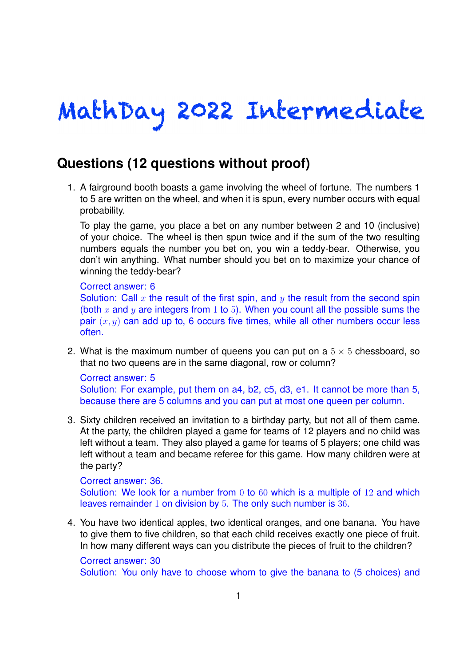# MathDay 2022 Intermediate

## **Questions (12 questions without proof)**

1. A fairground booth boasts a game involving the wheel of fortune. The numbers 1 to 5 are written on the wheel, and when it is spun, every number occurs with equal probability.

To play the game, you place a bet on any number between 2 and 10 (inclusive) of your choice. The wheel is then spun twice and if the sum of the two resulting numbers equals the number you bet on, you win a teddy-bear. Otherwise, you don't win anything. What number should you bet on to maximize your chance of winning the teddy-bear?

#### Correct answer: 6

Solution: Call x the result of the first spin, and y the result from the second spin (both *x* and *y* are integers from 1 to 5). When you count all the possible sums the pair  $(x, y)$  can add up to, 6 occurs five times, while all other numbers occur less often.

2. What is the maximum number of queens you can put on a  $5 \times 5$  chessboard, so that no two queens are in the same diagonal, row or column?

Correct answer: 5 Solution: For example, put them on a4, b2, c5, d3, e1. It cannot be more than 5, because there are 5 columns and you can put at most one queen per column.

3. Sixty children received an invitation to a birthday party, but not all of them came. At the party, the children played a game for teams of 12 players and no child was left without a team. They also played a game for teams of 5 players; one child was left without a team and became referee for this game. How many children were at the party?

#### Correct answer: 36.

Solution: We look for a number from 0 to 60 which is a multiple of 12 and which leaves remainder 1 on division by 5. The only such number is 36.

4. You have two identical apples, two identical oranges, and one banana. You have to give them to five children, so that each child receives exactly one piece of fruit. In how many different ways can you distribute the pieces of fruit to the children?

### Correct answer: 30

Solution: You only have to choose whom to give the banana to (5 choices) and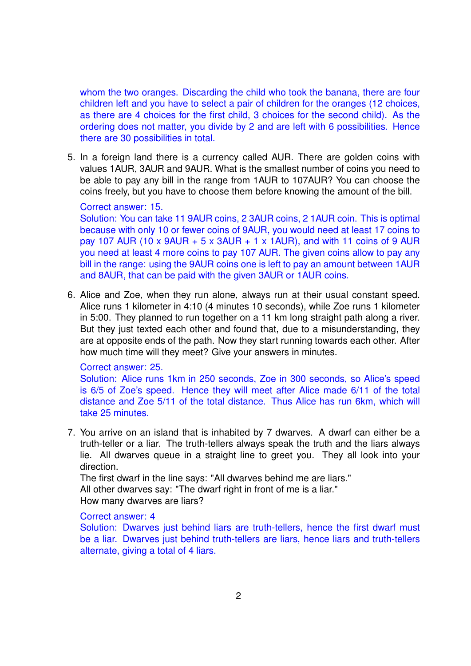whom the two oranges. Discarding the child who took the banana, there are four children left and you have to select a pair of children for the oranges (12 choices, as there are 4 choices for the first child, 3 choices for the second child). As the ordering does not matter, you divide by 2 and are left with 6 possibilities. Hence there are 30 possibilities in total.

5. In a foreign land there is a currency called AUR. There are golden coins with values 1AUR, 3AUR and 9AUR. What is the smallest number of coins you need to be able to pay any bill in the range from 1AUR to 107AUR? You can choose the coins freely, but you have to choose them before knowing the amount of the bill.

#### Correct answer: 15.

Solution: You can take 11 9AUR coins, 2 3AUR coins, 2 1AUR coin. This is optimal because with only 10 or fewer coins of 9AUR, you would need at least 17 coins to pay 107 AUR (10 x 9AUR  $+$  5 x 3AUR  $+$  1 x 1AUR), and with 11 coins of 9 AUR you need at least 4 more coins to pay 107 AUR. The given coins allow to pay any bill in the range: using the 9AUR coins one is left to pay an amount between 1AUR and 8AUR, that can be paid with the given 3AUR or 1AUR coins.

6. Alice and Zoe, when they run alone, always run at their usual constant speed. Alice runs 1 kilometer in 4:10 (4 minutes 10 seconds), while Zoe runs 1 kilometer in 5:00. They planned to run together on a 11 km long straight path along a river. But they just texted each other and found that, due to a misunderstanding, they are at opposite ends of the path. Now they start running towards each other. After how much time will they meet? Give your answers in minutes.

#### Correct answer: 25.

Solution: Alice runs 1km in 250 seconds, Zoe in 300 seconds, so Alice's speed is 6/5 of Zoe's speed. Hence they will meet after Alice made 6/11 of the total distance and Zoe 5/11 of the total distance. Thus Alice has run 6km, which will take 25 minutes.

7. You arrive on an island that is inhabited by 7 dwarves. A dwarf can either be a truth-teller or a liar. The truth-tellers always speak the truth and the liars always lie. All dwarves queue in a straight line to greet you. They all look into your direction.

The first dwarf in the line says: "All dwarves behind me are liars." All other dwarves say: "The dwarf right in front of me is a liar." How many dwarves are liars?

#### Correct answer: 4

Solution: Dwarves just behind liars are truth-tellers, hence the first dwarf must be a liar. Dwarves just behind truth-tellers are liars, hence liars and truth-tellers alternate, giving a total of 4 liars.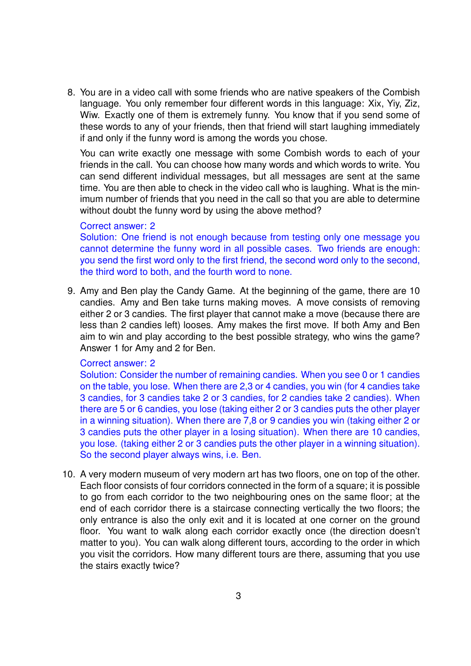8. You are in a video call with some friends who are native speakers of the Combish language. You only remember four different words in this language: Xix, Yiy, Ziz, Wiw. Exactly one of them is extremely funny. You know that if you send some of these words to any of your friends, then that friend will start laughing immediately if and only if the funny word is among the words you chose.

You can write exactly one message with some Combish words to each of your friends in the call. You can choose how many words and which words to write. You can send different individual messages, but all messages are sent at the same time. You are then able to check in the video call who is laughing. What is the minimum number of friends that you need in the call so that you are able to determine without doubt the funny word by using the above method?

#### Correct answer: 2

Solution: One friend is not enough because from testing only one message you cannot determine the funny word in all possible cases. Two friends are enough: you send the first word only to the first friend, the second word only to the second, the third word to both, and the fourth word to none.

9. Amy and Ben play the Candy Game. At the beginning of the game, there are 10 candies. Amy and Ben take turns making moves. A move consists of removing either 2 or 3 candies. The first player that cannot make a move (because there are less than 2 candies left) looses. Amy makes the first move. If both Amy and Ben aim to win and play according to the best possible strategy, who wins the game? Answer 1 for Amy and 2 for Ben.

#### Correct answer: 2

Solution: Consider the number of remaining candies. When you see 0 or 1 candies on the table, you lose. When there are 2,3 or 4 candies, you win (for 4 candies take 3 candies, for 3 candies take 2 or 3 candies, for 2 candies take 2 candies). When there are 5 or 6 candies, you lose (taking either 2 or 3 candies puts the other player in a winning situation). When there are 7,8 or 9 candies you win (taking either 2 or 3 candies puts the other player in a losing situation). When there are 10 candies, you lose. (taking either 2 or 3 candies puts the other player in a winning situation). So the second player always wins, i.e. Ben.

10. A very modern museum of very modern art has two floors, one on top of the other. Each floor consists of four corridors connected in the form of a square; it is possible to go from each corridor to the two neighbouring ones on the same floor; at the end of each corridor there is a staircase connecting vertically the two floors; the only entrance is also the only exit and it is located at one corner on the ground floor. You want to walk along each corridor exactly once (the direction doesn't matter to you). You can walk along different tours, according to the order in which you visit the corridors. How many different tours are there, assuming that you use the stairs exactly twice?